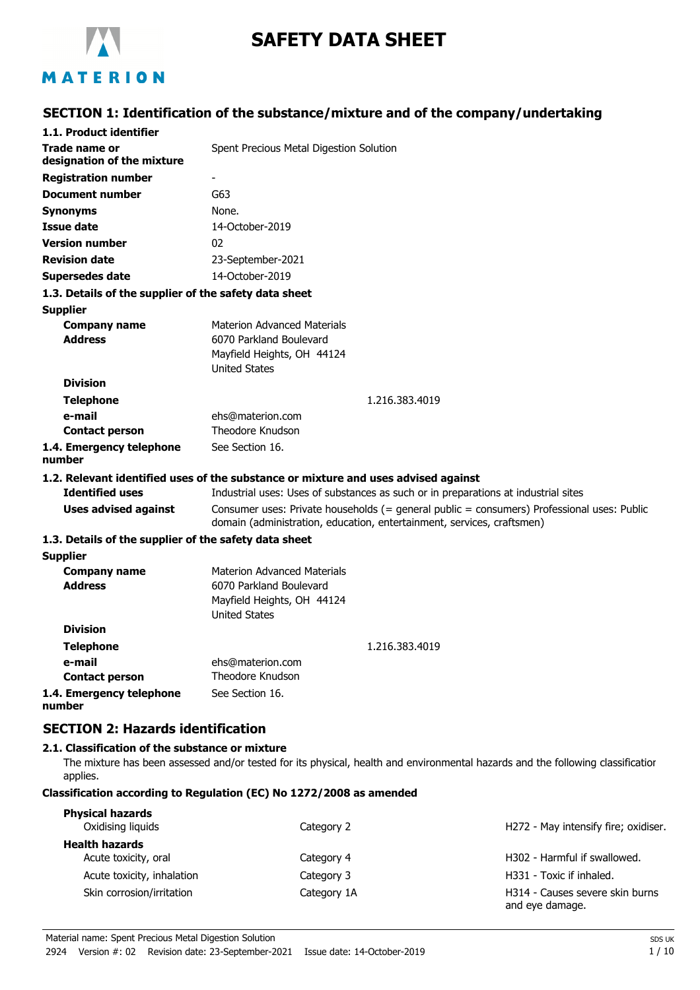

# **SAFETY DATA SHEET**

# MATERION

# **SECTION 1: Identification of the substance/mixture and of the company/undertaking**

| 1.1. Product identifier                               |                                                                                                                                                                      |  |
|-------------------------------------------------------|----------------------------------------------------------------------------------------------------------------------------------------------------------------------|--|
| Trade name or                                         | Spent Precious Metal Digestion Solution                                                                                                                              |  |
| designation of the mixture                            |                                                                                                                                                                      |  |
| <b>Registration number</b>                            |                                                                                                                                                                      |  |
| <b>Document number</b>                                | G63                                                                                                                                                                  |  |
| Synonyms                                              | None.                                                                                                                                                                |  |
| <b>Issue date</b>                                     | 14-October-2019                                                                                                                                                      |  |
| <b>Version number</b>                                 | 02                                                                                                                                                                   |  |
| <b>Revision date</b>                                  | 23-September-2021                                                                                                                                                    |  |
| <b>Supersedes date</b>                                | 14-October-2019                                                                                                                                                      |  |
| 1.3. Details of the supplier of the safety data sheet |                                                                                                                                                                      |  |
| <b>Supplier</b>                                       |                                                                                                                                                                      |  |
| <b>Company name</b>                                   | <b>Materion Advanced Materials</b>                                                                                                                                   |  |
| <b>Address</b>                                        | 6070 Parkland Boulevard                                                                                                                                              |  |
|                                                       | Mayfield Heights, OH 44124                                                                                                                                           |  |
|                                                       | <b>United States</b>                                                                                                                                                 |  |
| <b>Division</b>                                       |                                                                                                                                                                      |  |
| <b>Telephone</b>                                      | 1.216.383.4019                                                                                                                                                       |  |
| e-mail                                                | ehs@materion.com                                                                                                                                                     |  |
| <b>Contact person</b>                                 | <b>Theodore Knudson</b>                                                                                                                                              |  |
| 1.4. Emergency telephone<br>number                    | See Section 16.                                                                                                                                                      |  |
|                                                       | 1.2. Relevant identified uses of the substance or mixture and uses advised against                                                                                   |  |
| <b>Identified uses</b>                                | Industrial uses: Uses of substances as such or in preparations at industrial sites                                                                                   |  |
| <b>Uses advised against</b>                           | Consumer uses: Private households (= general public = consumers) Professional uses: Public<br>domain (administration, education, entertainment, services, craftsmen) |  |
| 1.3. Details of the supplier of the safety data sheet |                                                                                                                                                                      |  |
| <b>Supplier</b>                                       |                                                                                                                                                                      |  |
| <b>Company name</b>                                   | <b>Materion Advanced Materials</b>                                                                                                                                   |  |
| <b>Address</b>                                        | 6070 Parkland Boulevard                                                                                                                                              |  |
|                                                       | Mayfield Heights, OH 44124                                                                                                                                           |  |
|                                                       | <b>United States</b>                                                                                                                                                 |  |
| <b>Division</b>                                       |                                                                                                                                                                      |  |
| <b>Telephone</b>                                      | 1.216.383.4019                                                                                                                                                       |  |
| e-mail                                                | ehs@materion.com                                                                                                                                                     |  |
| <b>Contact person</b>                                 | Theodore Knudson                                                                                                                                                     |  |
| 1.4. Emergency telephone<br>number                    | See Section 16.                                                                                                                                                      |  |

# **SECTION 2: Hazards identification**

### **2.1. Classification of the substance or mixture**

The mixture has been assessed and/or tested for its physical, health and environmental hazards and the following classification applies.

### **Classification according to Regulation (EC) No 1272/2008 as amended**

| <b>Physical hazards</b><br>Oxidising liquids  | Category 2  | H272 - May intensify fire; oxidiser.               |
|-----------------------------------------------|-------------|----------------------------------------------------|
| <b>Health hazards</b><br>Acute toxicity, oral | Category 4  | H302 - Harmful if swallowed.                       |
| Acute toxicity, inhalation                    | Category 3  | H331 - Toxic if inhaled.                           |
| Skin corrosion/irritation                     | Category 1A | H314 - Causes severe skin burns<br>and eye damage. |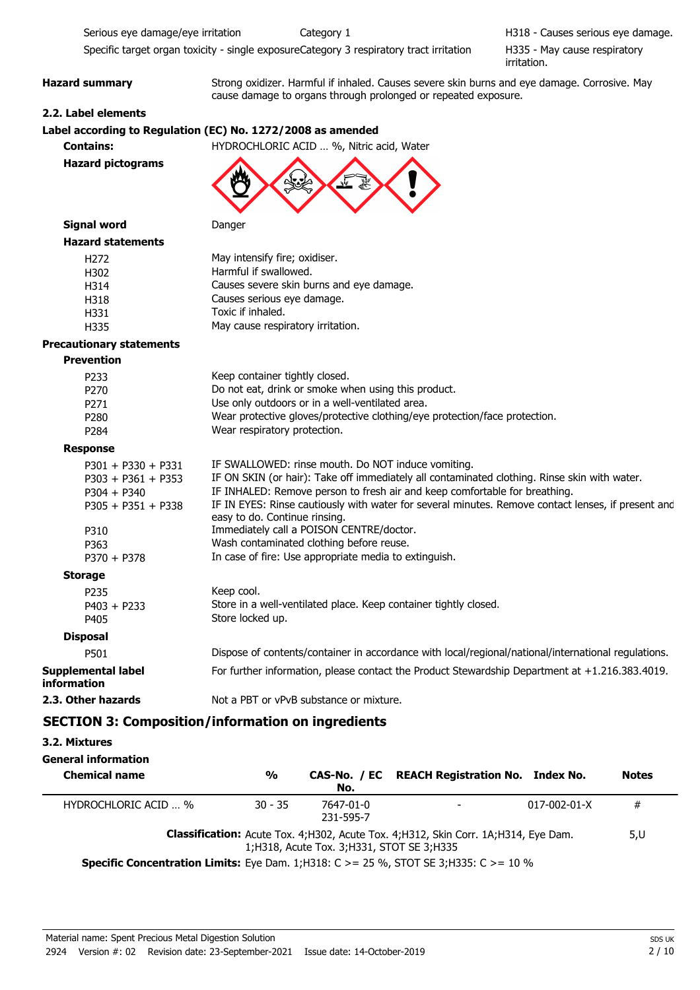Serious eye damage/eye irritation Category 1 Category 1 Serious eye damage.

Specific target organ toxicity - single exposureCategory 3 respiratory tract irritation

H335 - May cause respiratory irritation.

Hazard summary **Strong oxidizer. Harmful if inhaled. Causes severe skin burns and eye damage. Corrosive. May** cause damage to organs through prolonged or repeated exposure.

### **2.2. Label elements**

### **Label according to Regulation (EC) No. 1272/2008 as amended**

**Contains:** HYDROCHLORIC ACID … %, Nitric acid, Water

**Hazard pictograms**



| <b>Signal word</b>              | Danger                                                                                                                              |  |
|---------------------------------|-------------------------------------------------------------------------------------------------------------------------------------|--|
| <b>Hazard statements</b>        |                                                                                                                                     |  |
| H <sub>272</sub>                | May intensify fire; oxidiser.                                                                                                       |  |
| H302                            | Harmful if swallowed.                                                                                                               |  |
| H314                            | Causes severe skin burns and eye damage.                                                                                            |  |
| H318                            | Causes serious eye damage.                                                                                                          |  |
| H331                            | Toxic if inhaled.                                                                                                                   |  |
| H335                            | May cause respiratory irritation.                                                                                                   |  |
| <b>Precautionary statements</b> |                                                                                                                                     |  |
| <b>Prevention</b>               |                                                                                                                                     |  |
| P <sub>233</sub>                | Keep container tightly closed.                                                                                                      |  |
| P <sub>270</sub>                | Do not eat, drink or smoke when using this product.                                                                                 |  |
| P271                            | Use only outdoors or in a well-ventilated area.                                                                                     |  |
| P <sub>280</sub>                | Wear protective gloves/protective clothing/eye protection/face protection.                                                          |  |
| P <sub>284</sub>                | Wear respiratory protection.                                                                                                        |  |
| <b>Response</b>                 |                                                                                                                                     |  |
| $P301 + P330 + P331$            | IF SWALLOWED: rinse mouth. Do NOT induce vomiting.                                                                                  |  |
| $P303 + P361 + P353$            | IF ON SKIN (or hair): Take off immediately all contaminated clothing. Rinse skin with water.                                        |  |
| $P304 + P340$                   | IF INHALED: Remove person to fresh air and keep comfortable for breathing.                                                          |  |
| $P305 + P351 + P338$            | IF IN EYES: Rinse cautiously with water for several minutes. Remove contact lenses, if present and<br>easy to do. Continue rinsing. |  |
| P310                            | Immediately call a POISON CENTRE/doctor.                                                                                            |  |
| P363                            | Wash contaminated clothing before reuse.                                                                                            |  |
| $P370 + P378$                   | In case of fire: Use appropriate media to extinguish.                                                                               |  |
| <b>Storage</b>                  |                                                                                                                                     |  |
| P <sub>235</sub>                | Keep cool.                                                                                                                          |  |
| $P403 + P233$                   | Store in a well-ventilated place. Keep container tightly closed.                                                                    |  |
| P405                            | Store locked up.                                                                                                                    |  |
| <b>Disposal</b>                 |                                                                                                                                     |  |

| P501                              | Dispose of contents/container in accordance with local/regional/national/international regulations. |
|-----------------------------------|-----------------------------------------------------------------------------------------------------|
| Supplemental label<br>information | For further information, please contact the Product Stewardship Department at $+1.216.383.4019$ .   |

**2.3. Other hazards** Not a PBT or vPvB substance or mixture.

# **SECTION 3: Composition/information on ingredients**

**3.2. Mixtures**

| General information                                                                                 |               |                                              |                                                                                           |              |              |
|-----------------------------------------------------------------------------------------------------|---------------|----------------------------------------------|-------------------------------------------------------------------------------------------|--------------|--------------|
| <b>Chemical name</b>                                                                                | $\frac{0}{0}$ | No.                                          | CAS-No. / EC REACH Registration No. Index No.                                             |              | <b>Notes</b> |
| HYDROCHLORIC ACID  %                                                                                | $30 - 35$     | 7647-01-0<br>231-595-7                       | $\overline{\phantom{a}}$                                                                  | 017-002-01-X | #            |
| <b>Specific Concentration Limits:</b> Eye Dam. 1; H318: C $> = 25$ %, STOT SE 3; H335: C $> = 10$ % |               | 1; H318, Acute Tox. 3; H331, STOT SE 3; H335 | <b>Classification:</b> Acute Tox. 4;H302, Acute Tox. 4;H312, Skin Corr. 1A;H314, Eye Dam. |              | 5,U          |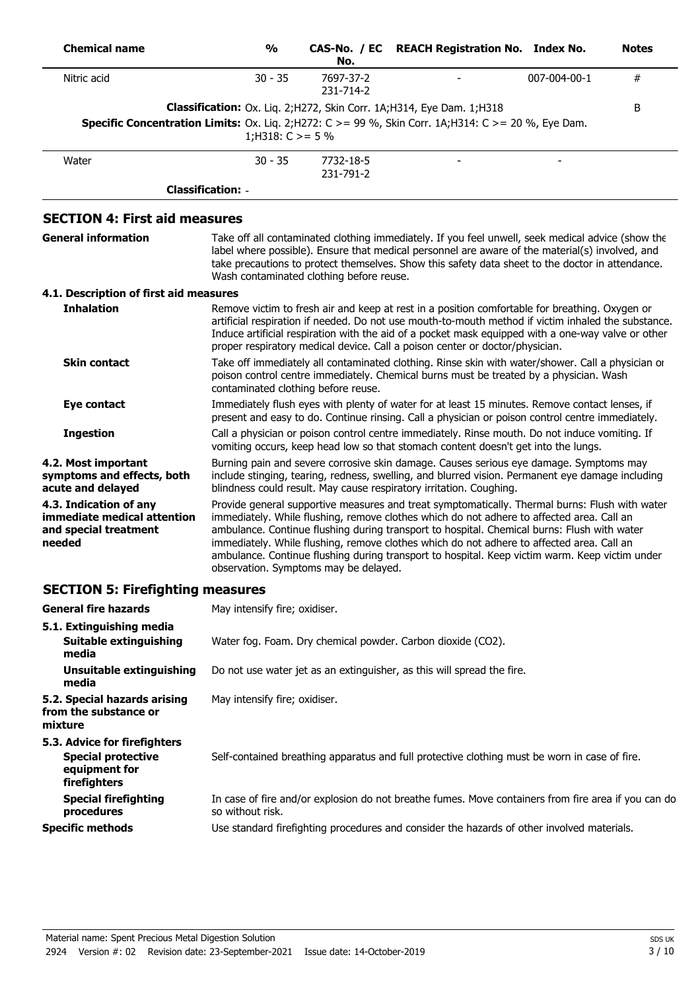| <b>Chemical name</b>                                                                                              | $\frac{0}{0}$                                                                                                                                                                                                                      | No.                    | CAS-No. / EC REACH Registration No. Index No.                                                                                                                                                                                                                                                                                                                                                                                                                                             |              | <b>Notes</b> |
|-------------------------------------------------------------------------------------------------------------------|------------------------------------------------------------------------------------------------------------------------------------------------------------------------------------------------------------------------------------|------------------------|-------------------------------------------------------------------------------------------------------------------------------------------------------------------------------------------------------------------------------------------------------------------------------------------------------------------------------------------------------------------------------------------------------------------------------------------------------------------------------------------|--------------|--------------|
| Nitric acid                                                                                                       | $30 - 35$                                                                                                                                                                                                                          | 7697-37-2<br>231-714-2 |                                                                                                                                                                                                                                                                                                                                                                                                                                                                                           | 007-004-00-1 | $\#$         |
| <b>Specific Concentration Limits:</b> Ox. Liq. 2; H272: $C > = 99$ %, Skin Corr. 1A; H314: $C > = 20$ %, Eye Dam. | 1;H318: $C \ge 5\%$                                                                                                                                                                                                                |                        | Classification: Ox. Liq. 2; H272, Skin Corr. 1A; H314, Eye Dam. 1; H318                                                                                                                                                                                                                                                                                                                                                                                                                   |              | B            |
| Water                                                                                                             | $30 - 35$                                                                                                                                                                                                                          | 7732-18-5<br>231-791-2 |                                                                                                                                                                                                                                                                                                                                                                                                                                                                                           |              |              |
|                                                                                                                   | <b>Classification: -</b>                                                                                                                                                                                                           |                        |                                                                                                                                                                                                                                                                                                                                                                                                                                                                                           |              |              |
| <b>SECTION 4: First aid measures</b>                                                                              |                                                                                                                                                                                                                                    |                        |                                                                                                                                                                                                                                                                                                                                                                                                                                                                                           |              |              |
| <b>General information</b>                                                                                        | Wash contaminated clothing before reuse.                                                                                                                                                                                           |                        | Take off all contaminated clothing immediately. If you feel unwell, seek medical advice (show the<br>label where possible). Ensure that medical personnel are aware of the material(s) involved, and<br>take precautions to protect themselves. Show this safety data sheet to the doctor in attendance.                                                                                                                                                                                  |              |              |
| 4.1. Description of first aid measures                                                                            |                                                                                                                                                                                                                                    |                        |                                                                                                                                                                                                                                                                                                                                                                                                                                                                                           |              |              |
| <b>Inhalation</b>                                                                                                 |                                                                                                                                                                                                                                    |                        | Remove victim to fresh air and keep at rest in a position comfortable for breathing. Oxygen or<br>artificial respiration if needed. Do not use mouth-to-mouth method if victim inhaled the substance.<br>Induce artificial respiration with the aid of a pocket mask equipped with a one-way valve or other<br>proper respiratory medical device. Call a poison center or doctor/physician.                                                                                               |              |              |
| <b>Skin contact</b>                                                                                               | Take off immediately all contaminated clothing. Rinse skin with water/shower. Call a physician or<br>poison control centre immediately. Chemical burns must be treated by a physician. Wash<br>contaminated clothing before reuse. |                        |                                                                                                                                                                                                                                                                                                                                                                                                                                                                                           |              |              |
| <b>Eye contact</b>                                                                                                | Immediately flush eyes with plenty of water for at least 15 minutes. Remove contact lenses, if<br>present and easy to do. Continue rinsing. Call a physician or poison control centre immediately.                                 |                        |                                                                                                                                                                                                                                                                                                                                                                                                                                                                                           |              |              |
| <b>Ingestion</b>                                                                                                  |                                                                                                                                                                                                                                    |                        | Call a physician or poison control centre immediately. Rinse mouth. Do not induce vomiting. If<br>vomiting occurs, keep head low so that stomach content doesn't get into the lungs.                                                                                                                                                                                                                                                                                                      |              |              |
| 4.2. Most important<br>symptoms and effects, both<br>acute and delayed                                            |                                                                                                                                                                                                                                    |                        | Burning pain and severe corrosive skin damage. Causes serious eye damage. Symptoms may<br>include stinging, tearing, redness, swelling, and blurred vision. Permanent eye damage including<br>blindness could result. May cause respiratory irritation. Coughing.                                                                                                                                                                                                                         |              |              |
| 4.3. Indication of any<br>immediate medical attention<br>and special treatment<br>needed                          | observation. Symptoms may be delayed.                                                                                                                                                                                              |                        | Provide general supportive measures and treat symptomatically. Thermal burns: Flush with water<br>immediately. While flushing, remove clothes which do not adhere to affected area. Call an<br>ambulance. Continue flushing during transport to hospital. Chemical burns: Flush with water<br>immediately. While flushing, remove clothes which do not adhere to affected area. Call an<br>ambulance. Continue flushing during transport to hospital. Keep victim warm. Keep victim under |              |              |
| <b>SECTION 5: Firefighting measures</b>                                                                           |                                                                                                                                                                                                                                    |                        |                                                                                                                                                                                                                                                                                                                                                                                                                                                                                           |              |              |
| <b>General fire hazards</b>                                                                                       | May intensify fire; oxidiser.                                                                                                                                                                                                      |                        |                                                                                                                                                                                                                                                                                                                                                                                                                                                                                           |              |              |
| 5.1. Extinguishing media<br><b>Suitable extinguishing</b><br>media                                                |                                                                                                                                                                                                                                    |                        | Water fog. Foam. Dry chemical powder. Carbon dioxide (CO2).                                                                                                                                                                                                                                                                                                                                                                                                                               |              |              |
| <b>Unsuitable extinguishing</b><br>media                                                                          |                                                                                                                                                                                                                                    |                        | Do not use water jet as an extinguisher, as this will spread the fire.                                                                                                                                                                                                                                                                                                                                                                                                                    |              |              |
| 5.2. Special hazards arising<br>from the substance or<br>mixture                                                  | May intensify fire; oxidiser.                                                                                                                                                                                                      |                        |                                                                                                                                                                                                                                                                                                                                                                                                                                                                                           |              |              |
| 5.3. Advice for firefighters<br><b>Special protective</b><br>equipment for<br>firefighters                        |                                                                                                                                                                                                                                    |                        | Self-contained breathing apparatus and full protective clothing must be worn in case of fire.                                                                                                                                                                                                                                                                                                                                                                                             |              |              |
| <b>Special firefighting</b>                                                                                       |                                                                                                                                                                                                                                    |                        | In case of fire and/or explosion do not breathe fumes. Move containers from fire area if you can do                                                                                                                                                                                                                                                                                                                                                                                       |              |              |

so without risk.

**Specific methods** Use standard firefighting procedures and consider the hazards of other involved materials.

**procedures**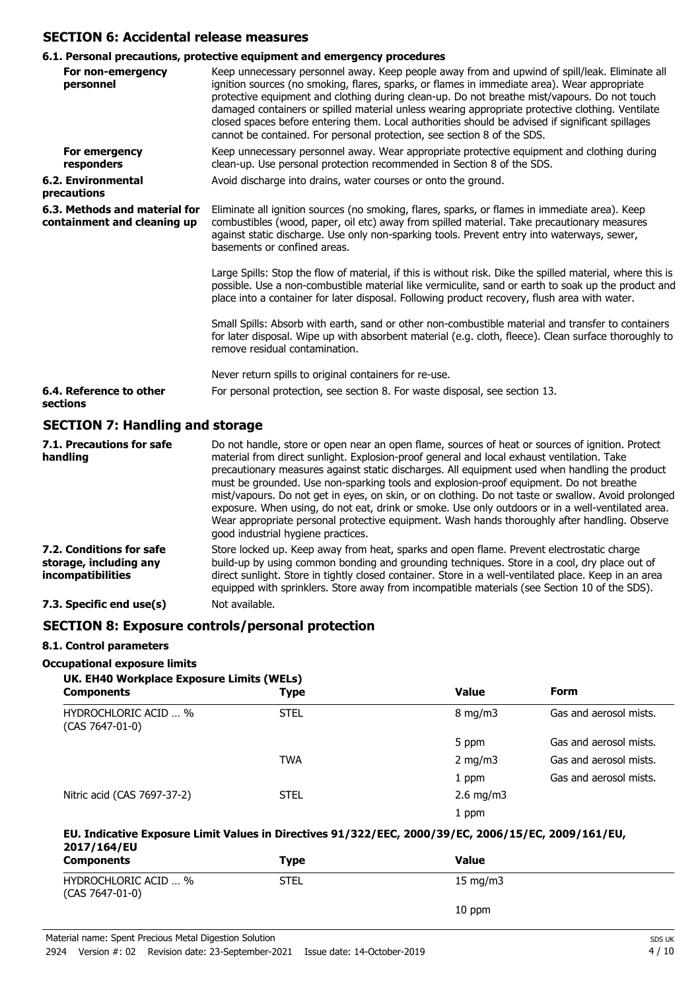## **SECTION 6: Accidental release measures**

# **6.1. Personal precautions, protective equipment and emergency procedures**

| For non-emergency                                            | v.1. reisonal precautions, protective equipment and emergency procedures<br>Keep unnecessary personnel away. Keep people away from and upwind of spill/leak. Eliminate all                                                                                                                                                                                                                                                                                                      |  |
|--------------------------------------------------------------|---------------------------------------------------------------------------------------------------------------------------------------------------------------------------------------------------------------------------------------------------------------------------------------------------------------------------------------------------------------------------------------------------------------------------------------------------------------------------------|--|
| personnel                                                    | ignition sources (no smoking, flares, sparks, or flames in immediate area). Wear appropriate<br>protective equipment and clothing during clean-up. Do not breathe mist/vapours. Do not touch<br>damaged containers or spilled material unless wearing appropriate protective clothing. Ventilate<br>closed spaces before entering them. Local authorities should be advised if significant spillages<br>cannot be contained. For personal protection, see section 8 of the SDS. |  |
| For emergency<br>responders                                  | Keep unnecessary personnel away. Wear appropriate protective equipment and clothing during<br>clean-up. Use personal protection recommended in Section 8 of the SDS.                                                                                                                                                                                                                                                                                                            |  |
| <b>6.2. Environmental</b><br>precautions                     | Avoid discharge into drains, water courses or onto the ground.                                                                                                                                                                                                                                                                                                                                                                                                                  |  |
| 6.3. Methods and material for<br>containment and cleaning up | Eliminate all ignition sources (no smoking, flares, sparks, or flames in immediate area). Keep<br>combustibles (wood, paper, oil etc) away from spilled material. Take precautionary measures<br>against static discharge. Use only non-sparking tools. Prevent entry into waterways, sewer,<br>basements or confined areas.                                                                                                                                                    |  |
|                                                              | Large Spills: Stop the flow of material, if this is without risk. Dike the spilled material, where this is<br>possible. Use a non-combustible material like vermiculite, sand or earth to soak up the product and<br>place into a container for later disposal. Following product recovery, flush area with water.                                                                                                                                                              |  |
|                                                              | Small Spills: Absorb with earth, sand or other non-combustible material and transfer to containers<br>for later disposal. Wipe up with absorbent material (e.g. cloth, fleece). Clean surface thoroughly to<br>remove residual contamination.                                                                                                                                                                                                                                   |  |
|                                                              | Never return spills to original containers for re-use.                                                                                                                                                                                                                                                                                                                                                                                                                          |  |
| 6.4. Reference to other<br>sections                          | For personal protection, see section 8. For waste disposal, see section 13.                                                                                                                                                                                                                                                                                                                                                                                                     |  |
| SECTION 7: Handling and storage                              |                                                                                                                                                                                                                                                                                                                                                                                                                                                                                 |  |

## **SECTION 7: Handling and storage**

| 7.1. Precautions for safe<br>handling                                          | Do not handle, store or open near an open flame, sources of heat or sources of ignition. Protect<br>material from direct sunlight. Explosion-proof general and local exhaust ventilation. Take<br>precautionary measures against static discharges. All equipment used when handling the product<br>must be grounded. Use non-sparking tools and explosion-proof equipment. Do not breathe<br>mist/vapours. Do not get in eyes, on skin, or on clothing. Do not taste or swallow. Avoid prolonged<br>exposure. When using, do not eat, drink or smoke. Use only outdoors or in a well-ventilated area.<br>Wear appropriate personal protective equipment. Wash hands thoroughly after handling. Observe<br>good industrial hygiene practices. |
|--------------------------------------------------------------------------------|-----------------------------------------------------------------------------------------------------------------------------------------------------------------------------------------------------------------------------------------------------------------------------------------------------------------------------------------------------------------------------------------------------------------------------------------------------------------------------------------------------------------------------------------------------------------------------------------------------------------------------------------------------------------------------------------------------------------------------------------------|
| 7.2. Conditions for safe<br>storage, including any<br><i>incompatibilities</i> | Store locked up. Keep away from heat, sparks and open flame. Prevent electrostatic charge<br>build-up by using common bonding and grounding techniques. Store in a cool, dry place out of<br>direct sunlight. Store in tightly closed container. Store in a well-ventilated place. Keep in an area<br>equipped with sprinklers. Store away from incompatible materials (see Section 10 of the SDS).                                                                                                                                                                                                                                                                                                                                           |
| 7.3. Specific end use(s)                                                       | Not available.                                                                                                                                                                                                                                                                                                                                                                                                                                                                                                                                                                                                                                                                                                                                |

## **SECTION 8: Exposure controls/personal protection**

### **8.1. Control parameters**

## **Occupational exposure limits**

| UK. EH40 Workplace Exposure Limits (WELs)<br><b>Components</b> | Type        | <b>Value</b>       | <b>Form</b>            |
|----------------------------------------------------------------|-------------|--------------------|------------------------|
| <b>HYDROCHLORIC ACID  %</b><br>$(CAS 7647-01-0)$               | <b>STEL</b> | $8 \text{ mg/m}$   | Gas and aerosol mists. |
|                                                                |             | 5 ppm              | Gas and aerosol mists. |
|                                                                | <b>TWA</b>  | $2 \text{ mg/m}$   | Gas and aerosol mists. |
|                                                                |             | 1 ppm              | Gas and aerosol mists. |
| Nitric acid (CAS 7697-37-2)                                    | <b>STEL</b> | $2.6 \text{ mg/m}$ |                        |
|                                                                |             | 1 ppm              |                        |

### **EU. Indicative Exposure Limit Values in Directives 91/322/EEC, 2000/39/EC, 2006/15/EC, 2009/161/EU, 2017/164/EU**

| <b>Components</b>                       | Type        | <b>Value</b> |
|-----------------------------------------|-------------|--------------|
| HYDROCHLORIC ACID  %<br>(CAS 7647-01-0) | <b>STEL</b> | 15 mg/m $3$  |
|                                         |             | 10 ppm       |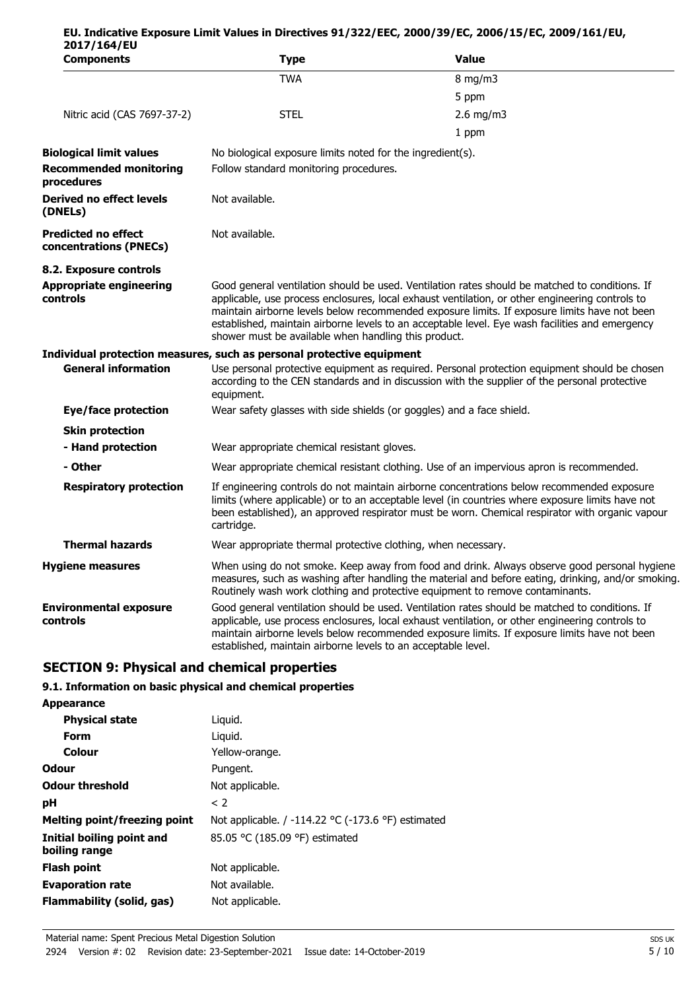| 2017/164/EU<br><b>Components</b>                     | <b>Type</b>                                                           | <b>Value</b>                                                                                                                                                                                                                                                                                                                                                                                         |
|------------------------------------------------------|-----------------------------------------------------------------------|------------------------------------------------------------------------------------------------------------------------------------------------------------------------------------------------------------------------------------------------------------------------------------------------------------------------------------------------------------------------------------------------------|
|                                                      | <b>TWA</b>                                                            | $8$ mg/m $3$                                                                                                                                                                                                                                                                                                                                                                                         |
|                                                      |                                                                       | 5 ppm                                                                                                                                                                                                                                                                                                                                                                                                |
| Nitric acid (CAS 7697-37-2)                          | <b>STEL</b>                                                           | $2.6$ mg/m3                                                                                                                                                                                                                                                                                                                                                                                          |
|                                                      |                                                                       | 1 ppm                                                                                                                                                                                                                                                                                                                                                                                                |
| <b>Biological limit values</b>                       | No biological exposure limits noted for the ingredient(s).            |                                                                                                                                                                                                                                                                                                                                                                                                      |
| <b>Recommended monitoring</b><br>procedures          | Follow standard monitoring procedures.                                |                                                                                                                                                                                                                                                                                                                                                                                                      |
| Derived no effect levels<br>(DNELs)                  | Not available.                                                        |                                                                                                                                                                                                                                                                                                                                                                                                      |
| <b>Predicted no effect</b><br>concentrations (PNECs) | Not available.                                                        |                                                                                                                                                                                                                                                                                                                                                                                                      |
| 8.2. Exposure controls                               |                                                                       |                                                                                                                                                                                                                                                                                                                                                                                                      |
| <b>Appropriate engineering</b><br>controls           | shower must be available when handling this product.                  | Good general ventilation should be used. Ventilation rates should be matched to conditions. If<br>applicable, use process enclosures, local exhaust ventilation, or other engineering controls to<br>maintain airborne levels below recommended exposure limits. If exposure limits have not been<br>established, maintain airborne levels to an acceptable level. Eye wash facilities and emergency |
|                                                      | Individual protection measures, such as personal protective equipment |                                                                                                                                                                                                                                                                                                                                                                                                      |
| <b>General information</b>                           | equipment.                                                            | Use personal protective equipment as required. Personal protection equipment should be chosen<br>according to the CEN standards and in discussion with the supplier of the personal protective                                                                                                                                                                                                       |
| <b>Eye/face protection</b>                           | Wear safety glasses with side shields (or goggles) and a face shield. |                                                                                                                                                                                                                                                                                                                                                                                                      |
| <b>Skin protection</b>                               |                                                                       |                                                                                                                                                                                                                                                                                                                                                                                                      |
| - Hand protection                                    | Wear appropriate chemical resistant gloves.                           |                                                                                                                                                                                                                                                                                                                                                                                                      |
| - Other                                              |                                                                       | Wear appropriate chemical resistant clothing. Use of an impervious apron is recommended.                                                                                                                                                                                                                                                                                                             |
| <b>Respiratory protection</b>                        | cartridge.                                                            | If engineering controls do not maintain airborne concentrations below recommended exposure<br>limits (where applicable) or to an acceptable level (in countries where exposure limits have not<br>been established), an approved respirator must be worn. Chemical respirator with organic vapour                                                                                                    |
| <b>Thermal hazards</b>                               | Wear appropriate thermal protective clothing, when necessary.         |                                                                                                                                                                                                                                                                                                                                                                                                      |
| <b>Hygiene measures</b>                              |                                                                       | When using do not smoke. Keep away from food and drink. Always observe good personal hygiene<br>measures, such as washing after handling the material and before eating, drinking, and/or smoking.<br>Routinely wash work clothing and protective equipment to remove contaminants.                                                                                                                  |
| <b>Environmental exposure</b><br>controls            | established, maintain airborne levels to an acceptable level.         | Good general ventilation should be used. Ventilation rates should be matched to conditions. If<br>applicable, use process enclosures, local exhaust ventilation, or other engineering controls to<br>maintain airborne levels below recommended exposure limits. If exposure limits have not been                                                                                                    |

**EU. Indicative Exposure Limit Values in Directives 91/322/EEC, 2000/39/EC, 2006/15/EC, 2009/161/EU,**

# **SECTION 9: Physical and chemical properties**

### **9.1. Information on basic physical and chemical properties**

| <b>Appearance</b>                          |                                                                      |
|--------------------------------------------|----------------------------------------------------------------------|
| <b>Physical state</b>                      | Liguid.                                                              |
| Form                                       | Liguid.                                                              |
| Colour                                     | Yellow-orange.                                                       |
| <b>Odour</b>                               | Pungent.                                                             |
| <b>Odour threshold</b>                     | Not applicable.                                                      |
| рH                                         | $\langle$ 2                                                          |
| <b>Melting point/freezing point</b>        | Not applicable. / -114.22 $\degree$ C (-173.6 $\degree$ F) estimated |
| Initial boiling point and<br>boiling range | 85.05 °C (185.09 °F) estimated                                       |
| <b>Flash point</b>                         | Not applicable.                                                      |
| <b>Evaporation rate</b>                    | Not available.                                                       |
| Flammability (solid, gas)                  | Not applicable.                                                      |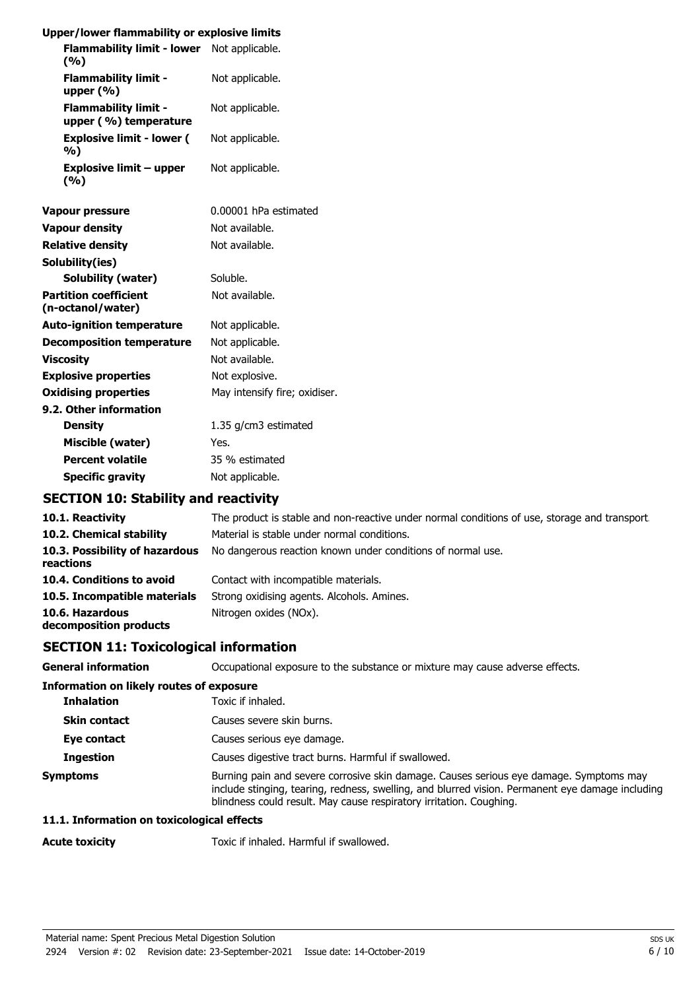| Upper/lower flammability or explosive limits         |                               |
|------------------------------------------------------|-------------------------------|
| Flammability limit - lower Not applicable.           |                               |
| (9/6)                                                |                               |
| <b>Flammability limit -</b><br>upper $(\% )$         | Not applicable.               |
| <b>Flammability limit -</b><br>upper (%) temperature | Not applicable.               |
| <b>Explosive limit - lower (</b><br>%)               | Not applicable.               |
| <b>Explosive limit - upper</b><br>(9/6)              | Not applicable.               |
| Vapour pressure                                      | 0.00001 hPa estimated         |
| <b>Vapour density</b>                                | Not available.                |
| <b>Relative density</b>                              | Not available.                |
| Solubility(ies)                                      |                               |
| <b>Solubility (water)</b>                            | Soluble.                      |
| <b>Partition coefficient</b><br>(n-octanol/water)    | Not available.                |
| <b>Auto-ignition temperature</b>                     | Not applicable.               |
| <b>Decomposition temperature</b>                     | Not applicable.               |
| <b>Viscosity</b>                                     | Not available.                |
| <b>Explosive properties</b>                          | Not explosive.                |
| <b>Oxidising properties</b>                          | May intensify fire; oxidiser. |
| 9.2. Other information                               |                               |
| <b>Density</b>                                       | 1.35 g/cm3 estimated          |
| Miscible (water)                                     | Yes.                          |
| <b>Percent volatile</b>                              | 35 % estimated                |
| <b>Specific gravity</b>                              | Not applicable.               |

# **SECTION 10: Stability and reactivity**

| 10.1. Reactivity                            | The product is stable and non-reactive under normal conditions of use, storage and transport |
|---------------------------------------------|----------------------------------------------------------------------------------------------|
| 10.2. Chemical stability                    | Material is stable under normal conditions.                                                  |
| 10.3. Possibility of hazardous<br>reactions | No dangerous reaction known under conditions of normal use.                                  |
| 10.4. Conditions to avoid                   | Contact with incompatible materials.                                                         |
| 10.5. Incompatible materials                | Strong oxidising agents. Alcohols. Amines.                                                   |
| 10.6. Hazardous<br>decomposition products   | Nitrogen oxides (NOx).                                                                       |

# **SECTION 11: Toxicological information**

| <b>General information</b>                      | Occupational exposure to the substance or mixture may cause adverse effects.                                                                                                                                                                                      |
|-------------------------------------------------|-------------------------------------------------------------------------------------------------------------------------------------------------------------------------------------------------------------------------------------------------------------------|
| <b>Information on likely routes of exposure</b> |                                                                                                                                                                                                                                                                   |
| <b>Inhalation</b>                               | Toxic if inhaled.                                                                                                                                                                                                                                                 |
| <b>Skin contact</b>                             | Causes severe skin burns.                                                                                                                                                                                                                                         |
| Eye contact                                     | Causes serious eye damage.                                                                                                                                                                                                                                        |
| <b>Ingestion</b>                                | Causes digestive tract burns. Harmful if swallowed.                                                                                                                                                                                                               |
| <b>Symptoms</b>                                 | Burning pain and severe corrosive skin damage. Causes serious eye damage. Symptoms may<br>include stinging, tearing, redness, swelling, and blurred vision. Permanent eye damage including<br>blindness could result. May cause respiratory irritation. Coughing. |

## **11.1. Information on toxicological effects**

**Acute toxicity** Toxic if inhaled. Harmful if swallowed.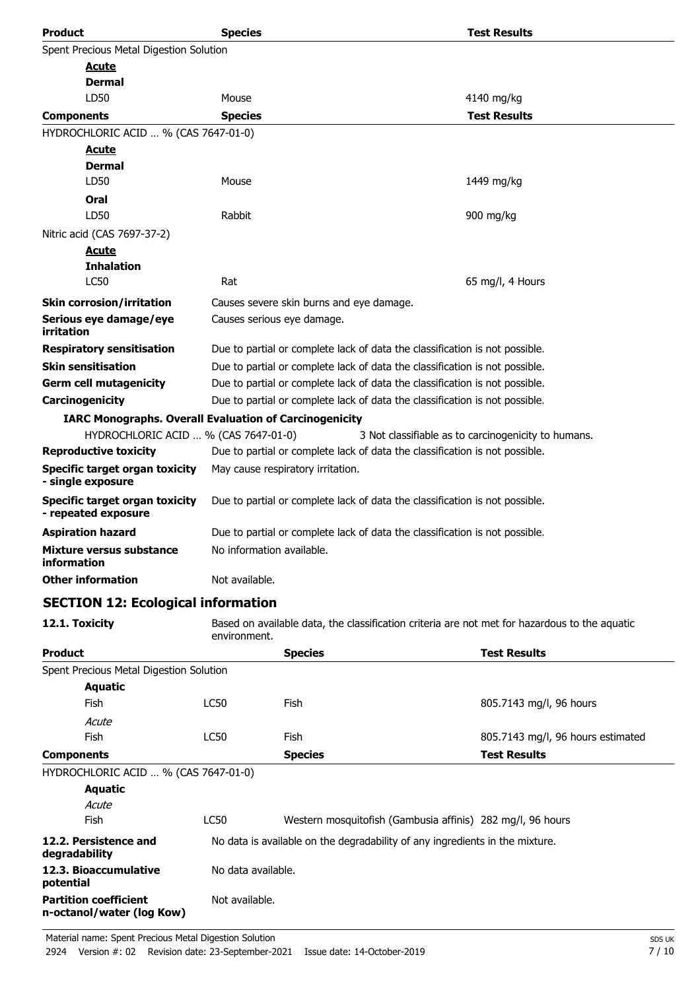| <b>Product</b>                                                | <b>Species</b>                                                              |                                                                                               | <b>Test Results</b>                                 |  |
|---------------------------------------------------------------|-----------------------------------------------------------------------------|-----------------------------------------------------------------------------------------------|-----------------------------------------------------|--|
| Spent Precious Metal Digestion Solution                       |                                                                             |                                                                                               |                                                     |  |
| <u>Acute</u>                                                  |                                                                             |                                                                                               |                                                     |  |
| Dermal                                                        |                                                                             |                                                                                               |                                                     |  |
| LD50                                                          | Mouse                                                                       |                                                                                               | 4140 mg/kg                                          |  |
| <b>Components</b>                                             | <b>Species</b>                                                              |                                                                                               | <b>Test Results</b>                                 |  |
| HYDROCHLORIC ACID  % (CAS 7647-01-0)                          |                                                                             |                                                                                               |                                                     |  |
| <u>Acute</u>                                                  |                                                                             |                                                                                               |                                                     |  |
| <b>Dermal</b>                                                 |                                                                             |                                                                                               |                                                     |  |
| LD50                                                          | Mouse                                                                       |                                                                                               | 1449 mg/kg                                          |  |
| Oral                                                          |                                                                             |                                                                                               |                                                     |  |
| LD50                                                          | Rabbit                                                                      |                                                                                               | 900 mg/kg                                           |  |
| Nitric acid (CAS 7697-37-2)                                   |                                                                             |                                                                                               |                                                     |  |
| <b>Acute</b>                                                  |                                                                             |                                                                                               |                                                     |  |
| <b>Inhalation</b><br><b>LC50</b>                              | Rat                                                                         |                                                                                               | 65 mg/l, 4 Hours                                    |  |
|                                                               |                                                                             |                                                                                               |                                                     |  |
| <b>Skin corrosion/irritation</b>                              |                                                                             | Causes severe skin burns and eye damage.                                                      |                                                     |  |
| Serious eye damage/eye<br>irritation                          |                                                                             | Causes serious eye damage.                                                                    |                                                     |  |
| <b>Respiratory sensitisation</b>                              |                                                                             | Due to partial or complete lack of data the classification is not possible.                   |                                                     |  |
| <b>Skin sensitisation</b>                                     | Due to partial or complete lack of data the classification is not possible. |                                                                                               |                                                     |  |
| <b>Germ cell mutagenicity</b>                                 | Due to partial or complete lack of data the classification is not possible. |                                                                                               |                                                     |  |
| Carcinogenicity                                               | Due to partial or complete lack of data the classification is not possible. |                                                                                               |                                                     |  |
| <b>IARC Monographs. Overall Evaluation of Carcinogenicity</b> |                                                                             |                                                                                               |                                                     |  |
| HYDROCHLORIC ACID  % (CAS 7647-01-0)                          |                                                                             |                                                                                               | 3 Not classifiable as to carcinogenicity to humans. |  |
| <b>Reproductive toxicity</b>                                  |                                                                             | Due to partial or complete lack of data the classification is not possible.                   |                                                     |  |
| <b>Specific target organ toxicity</b><br>- single exposure    |                                                                             | May cause respiratory irritation.                                                             |                                                     |  |
| <b>Specific target organ toxicity</b><br>- repeated exposure  |                                                                             | Due to partial or complete lack of data the classification is not possible.                   |                                                     |  |
| <b>Aspiration hazard</b>                                      |                                                                             | Due to partial or complete lack of data the classification is not possible.                   |                                                     |  |
| Mixture versus substance<br>information                       | No information available.                                                   |                                                                                               |                                                     |  |
| <b>Other information</b>                                      | Not available.                                                              |                                                                                               |                                                     |  |
| <b>SECTION 12: Ecological information</b>                     |                                                                             |                                                                                               |                                                     |  |
| 12.1. Toxicity                                                | environment.                                                                | Based on available data, the classification criteria are not met for hazardous to the aquatic |                                                     |  |
| <b>Product</b>                                                |                                                                             | <b>Species</b>                                                                                | <b>Test Results</b>                                 |  |
| Spent Precious Metal Digestion Solution                       |                                                                             |                                                                                               |                                                     |  |
| <b>Aquatic</b>                                                |                                                                             |                                                                                               |                                                     |  |
| <b>Fish</b>                                                   | LC50                                                                        | <b>Fish</b>                                                                                   | 805.7143 mg/l, 96 hours                             |  |
| Acute                                                         |                                                                             |                                                                                               |                                                     |  |
| Fish                                                          | LC50                                                                        | Fish                                                                                          | 805.7143 mg/l, 96 hours estimated                   |  |
| <b>Components</b>                                             |                                                                             | <b>Species</b>                                                                                | <b>Test Results</b>                                 |  |
| HYDROCHLORIC ACID  % (CAS 7647-01-0)                          |                                                                             |                                                                                               |                                                     |  |
| <b>Aquatic</b>                                                |                                                                             |                                                                                               |                                                     |  |
| Acute                                                         |                                                                             |                                                                                               |                                                     |  |
| Fish                                                          | <b>LC50</b>                                                                 | Western mosquitofish (Gambusia affinis) 282 mg/l, 96 hours                                    |                                                     |  |
| 12.2. Persistence and<br>degradability                        |                                                                             | No data is available on the degradability of any ingredients in the mixture.                  |                                                     |  |
| 12.3. Bioaccumulative<br>potential                            | No data available.                                                          |                                                                                               |                                                     |  |

Not available.

**Partition coefficient n-octanol/water (log Kow)**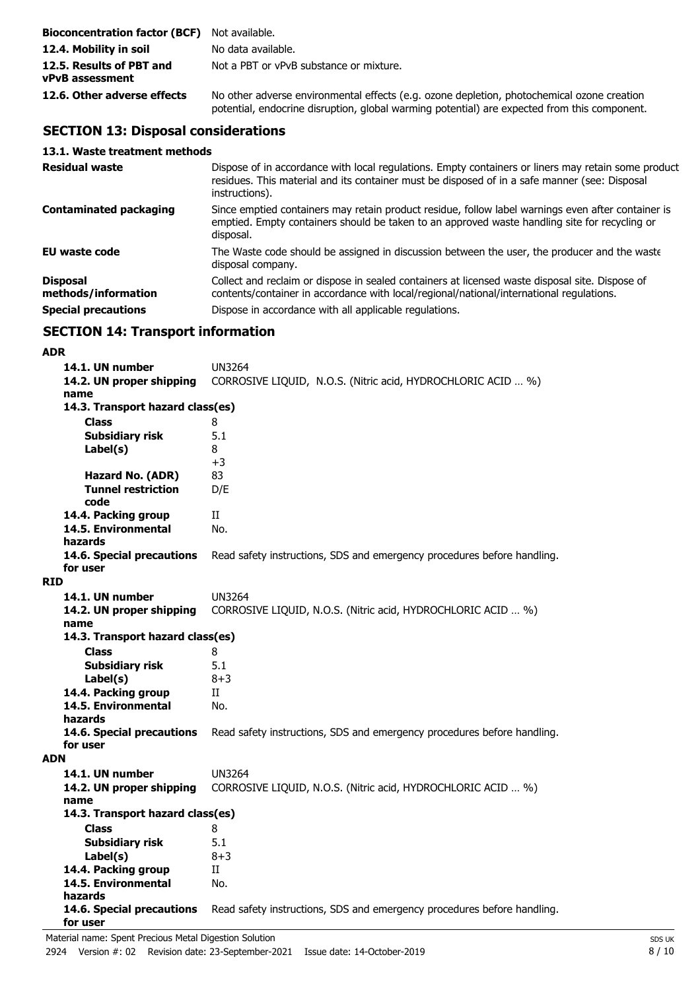| <b>Bioconcentration factor (BCF)</b> Not available. |                                                                                                                                                                                            |
|-----------------------------------------------------|--------------------------------------------------------------------------------------------------------------------------------------------------------------------------------------------|
| 12.4. Mobility in soil                              | No data available.                                                                                                                                                                         |
| 12.5. Results of PBT and<br><b>vPvB</b> assessment  | Not a PBT or vPvB substance or mixture.                                                                                                                                                    |
| 12.6. Other adverse effects                         | No other adverse environmental effects (e.g. ozone depletion, photochemical ozone creation<br>potential, endocrine disruption, global warming potential) are expected from this component. |

# **SECTION 13: Disposal considerations**

## **13.1. Waste treatment methods**

| <b>Residual waste</b>                  | Dispose of in accordance with local regulations. Empty containers or liners may retain some product<br>residues. This material and its container must be disposed of in a safe manner (see: Disposal<br>instructions). |
|----------------------------------------|------------------------------------------------------------------------------------------------------------------------------------------------------------------------------------------------------------------------|
| <b>Contaminated packaging</b>          | Since emptied containers may retain product residue, follow label warnings even after container is<br>emptied. Empty containers should be taken to an approved waste handling site for recycling or<br>disposal.       |
| <b>EU waste code</b>                   | The Waste code should be assigned in discussion between the user, the producer and the waste<br>disposal company.                                                                                                      |
| <b>Disposal</b><br>methods/information | Collect and reclaim or dispose in sealed containers at licensed waste disposal site. Dispose of<br>contents/container in accordance with local/regional/national/international regulations.                            |
| <b>Special precautions</b>             | Dispose in accordance with all applicable regulations.                                                                                                                                                                 |

# **SECTION 14: Transport information**

### **ADR**

| 14.1. UN number                       | <b>UN3264</b>                                                           |  |
|---------------------------------------|-------------------------------------------------------------------------|--|
| 14.2. UN proper shipping              | CORROSIVE LIQUID, N.O.S. (Nitric acid, HYDROCHLORIC ACID  %)            |  |
| name                                  |                                                                         |  |
| 14.3. Transport hazard class(es)      |                                                                         |  |
| <b>Class</b>                          | 8                                                                       |  |
| <b>Subsidiary risk</b>                | 5.1                                                                     |  |
| Label(s)                              | 8                                                                       |  |
|                                       | $+3$                                                                    |  |
| Hazard No. (ADR)                      | 83                                                                      |  |
| <b>Tunnel restriction</b>             | D/E                                                                     |  |
| code                                  |                                                                         |  |
| 14.4. Packing group                   | П                                                                       |  |
| 14.5. Environmental                   | No.                                                                     |  |
| hazards                               |                                                                         |  |
| 14.6. Special precautions<br>for user | Read safety instructions, SDS and emergency procedures before handling. |  |
| <b>RID</b>                            |                                                                         |  |
| 14.1. UN number                       | <b>UN3264</b>                                                           |  |
|                                       | CORROSIVE LIQUID, N.O.S. (Nitric acid, HYDROCHLORIC ACID  %)            |  |
| 14.2. UN proper shipping<br>name      |                                                                         |  |
| 14.3. Transport hazard class(es)      |                                                                         |  |
| <b>Class</b>                          | 8                                                                       |  |
| <b>Subsidiary risk</b>                | 5.1                                                                     |  |
| Label(s)                              | $8 + 3$                                                                 |  |
| 14.4. Packing group                   | Π                                                                       |  |
| 14.5. Environmental                   | No.                                                                     |  |
| hazards                               |                                                                         |  |
| 14.6. Special precautions             | Read safety instructions, SDS and emergency procedures before handling. |  |
| for user                              |                                                                         |  |
| <b>ADN</b>                            |                                                                         |  |
| 14.1. UN number                       | UN3264                                                                  |  |
| 14.2. UN proper shipping              | CORROSIVE LIQUID, N.O.S. (Nitric acid, HYDROCHLORIC ACID  %)            |  |
| name                                  |                                                                         |  |
| 14.3. Transport hazard class(es)      |                                                                         |  |
| <b>Class</b>                          | 8                                                                       |  |
| <b>Subsidiary risk</b>                | 5.1                                                                     |  |
| Label(s)                              | $8 + 3$                                                                 |  |
| 14.4. Packing group                   | $_{\rm II}$                                                             |  |
| 14.5. Environmental                   | No.                                                                     |  |
| hazards                               |                                                                         |  |
| 14.6. Special precautions             | Read safety instructions, SDS and emergency procedures before handling. |  |
| for user                              |                                                                         |  |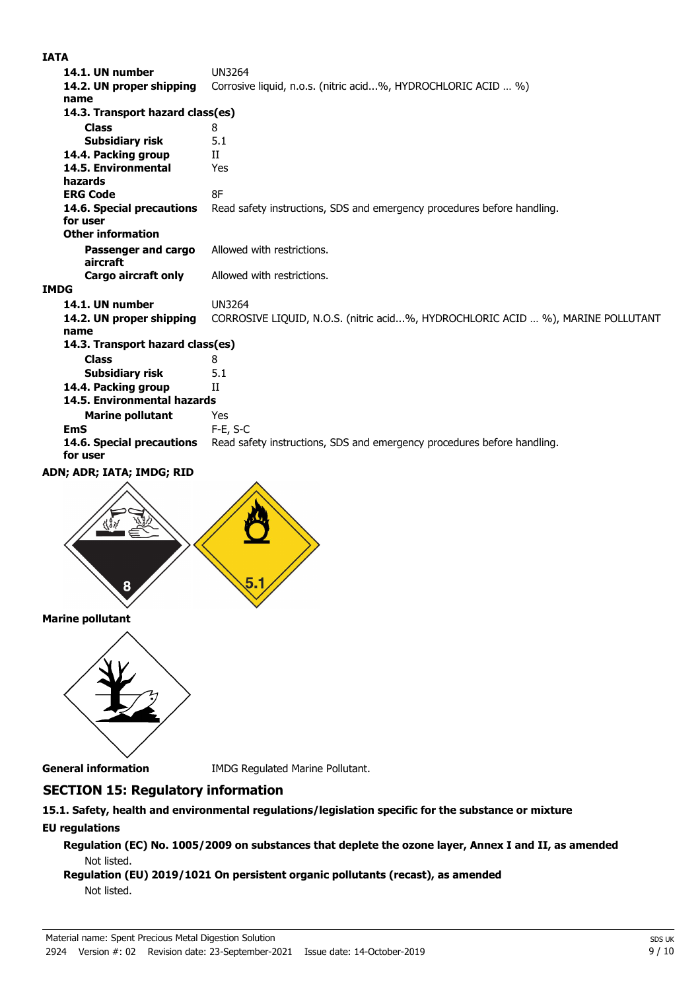### **IATA**

| 14.1. UN number                       | <b>UN3264</b>                                                                   |  |
|---------------------------------------|---------------------------------------------------------------------------------|--|
| 14.2. UN proper shipping              | Corrosive liquid, n.o.s. (nitric acid%, HYDROCHLORIC ACID  %)                   |  |
| name                                  |                                                                                 |  |
| 14.3. Transport hazard class(es)      |                                                                                 |  |
| <b>Class</b>                          | 8                                                                               |  |
| Subsidiary risk                       | 5.1                                                                             |  |
| 14.4. Packing group                   | H                                                                               |  |
| 14.5. Environmental                   | Yes                                                                             |  |
| hazards                               |                                                                                 |  |
| <b>ERG Code</b>                       | 8F                                                                              |  |
| 14.6. Special precautions<br>for user | Read safety instructions, SDS and emergency procedures before handling.         |  |
| <b>Other information</b>              |                                                                                 |  |
| Passenger and cargo                   | Allowed with restrictions.                                                      |  |
| aircraft                              |                                                                                 |  |
| Cargo aircraft only                   | Allowed with restrictions.                                                      |  |
| <b>IMDG</b>                           |                                                                                 |  |
| 14.1. UN number                       | <b>UN3264</b>                                                                   |  |
| 14.2. UN proper shipping<br>name      | CORROSIVE LIQUID, N.O.S. (nitric acid%, HYDROCHLORIC ACID  %), MARINE POLLUTANT |  |
| 14.3. Transport hazard class(es)      |                                                                                 |  |
| <b>Class</b>                          | 8                                                                               |  |
| <b>Subsidiary risk</b>                | 5.1                                                                             |  |
| 14.4. Packing group                   | Н                                                                               |  |
| 14.5. Environmental hazards           |                                                                                 |  |
| <b>Marine pollutant</b>               | Yes                                                                             |  |
| <b>EmS</b>                            | $F-E, S-C$                                                                      |  |
| 14.6. Special precautions<br>for user | Read safety instructions, SDS and emergency procedures before handling.         |  |
| ADN; ADR; IATA; IMDG; RID             |                                                                                 |  |
|                                       |                                                                                 |  |





**General information** IMDG Regulated Marine Pollutant.

# **SECTION 15: Regulatory information**

## **15.1. Safety, health and environmental regulations/legislation specific for the substance or mixture EU regulations**

**Regulation (EC) No. 1005/2009 on substances that deplete the ozone layer, Annex I and II, as amended** Not listed.

## **Regulation (EU) 2019/1021 On persistent organic pollutants (recast), as amended** Not listed.